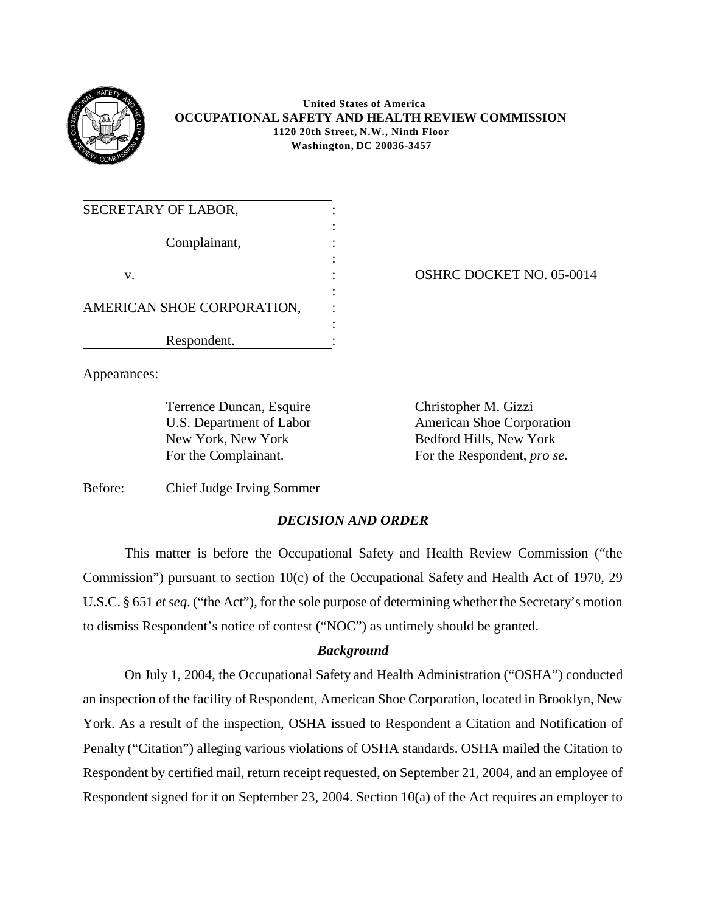

 **United States of America OCCUPATIONAL SAFETY AND HEALTH REVIEW COMMISSION 1120 20th Street, N.W., Ninth Floor Washington, DC 20036-3457**

| SECRETARY OF LABOR,        |  |
|----------------------------|--|
| Complainant,               |  |
| V.                         |  |
| AMERICAN SHOE CORPORATION, |  |
| Respondent.                |  |

OSHRC DOCKET NO. 05-0014

Appearances:

Terrence Duncan, Esquire Christopher M. Gizzi

U.S. Department of Labor American Shoe Corporation New York, New York Bedford Hills, New York For the Complainant. For the Respondent, *pro se*.

Before: Chief Judge Irving Sommer

## *DECISION AND ORDER*

This matter is before the Occupational Safety and Health Review Commission ("the Commission") pursuant to section 10(c) of the Occupational Safety and Health Act of 1970, 29 U.S.C. § 651 *et seq*. ("the Act"), for the sole purpose of determining whether the Secretary's motion to dismiss Respondent's notice of contest ("NOC") as untimely should be granted.

## *Background*

On July 1, 2004, the Occupational Safety and Health Administration ("OSHA") conducted an inspection of the facility of Respondent, American Shoe Corporation, located in Brooklyn, New York. As a result of the inspection, OSHA issued to Respondent a Citation and Notification of Penalty ("Citation") alleging various violations of OSHA standards. OSHA mailed the Citation to Respondent by certified mail, return receipt requested, on September 21, 2004, and an employee of Respondent signed for it on September 23, 2004. Section 10(a) of the Act requires an employer to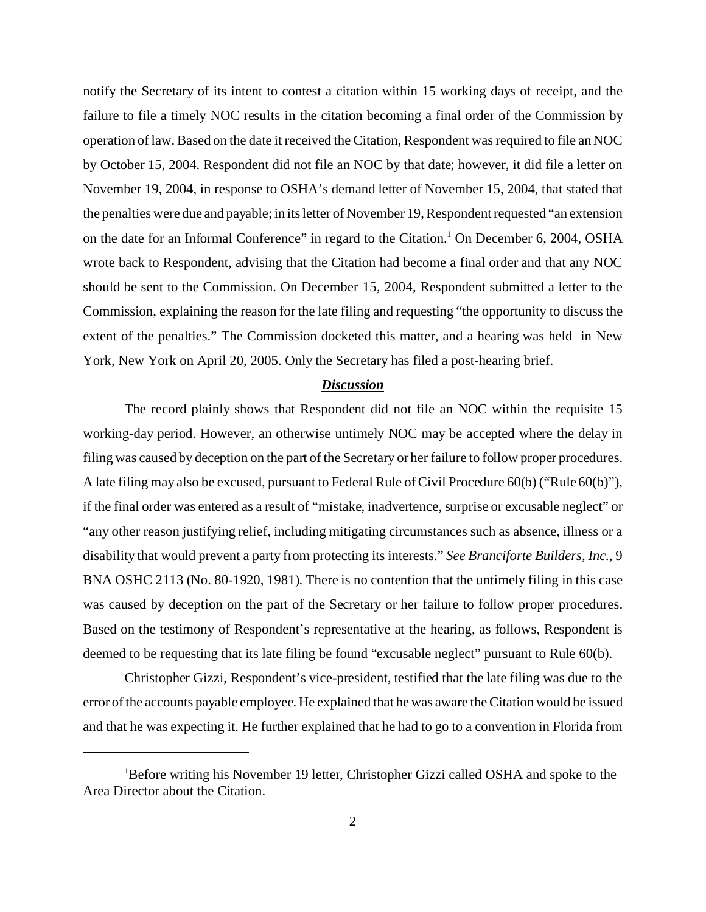notify the Secretary of its intent to contest a citation within 15 working days of receipt, and the failure to file a timely NOC results in the citation becoming a final order of the Commission by operation of law. Based on the date it received the Citation, Respondent was required to file an NOC by October 15, 2004. Respondent did not file an NOC by that date; however, it did file a letter on November 19, 2004, in response to OSHA's demand letter of November 15, 2004, that stated that the penalties were due and payable; in its letter of November 19, Respondent requested "an extension on the date for an Informal Conference" in regard to the Citation.<sup>1</sup> On December 6, 2004, OSHA wrote back to Respondent, advising that the Citation had become a final order and that any NOC should be sent to the Commission. On December 15, 2004, Respondent submitted a letter to the Commission, explaining the reason for the late filing and requesting "the opportunity to discuss the extent of the penalties." The Commission docketed this matter, and a hearing was held in New York, New York on April 20, 2005. Only the Secretary has filed a post-hearing brief.

## *Discussion*

The record plainly shows that Respondent did not file an NOC within the requisite 15 working-day period. However, an otherwise untimely NOC may be accepted where the delay in filing was caused by deception on the part of the Secretary or her failure to follow proper procedures. A late filing may also be excused, pursuant to Federal Rule of Civil Procedure 60(b) ("Rule 60(b)"), if the final order was entered as a result of "mistake, inadvertence, surprise or excusable neglect" or "any other reason justifying relief, including mitigating circumstances such as absence, illness or a disability that would prevent a party from protecting its interests." *See Branciforte Builders, Inc.*, 9 BNA OSHC 2113 (No. 80-1920, 1981). There is no contention that the untimely filing in this case was caused by deception on the part of the Secretary or her failure to follow proper procedures. Based on the testimony of Respondent's representative at the hearing, as follows, Respondent is deemed to be requesting that its late filing be found "excusable neglect" pursuant to Rule 60(b).

Christopher Gizzi, Respondent's vice-president, testified that the late filing was due to the error of the accounts payable employee. He explained that he was aware the Citation would be issued and that he was expecting it. He further explained that he had to go to a convention in Florida from

<sup>1</sup>Before writing his November 19 letter, Christopher Gizzi called OSHA and spoke to the Area Director about the Citation.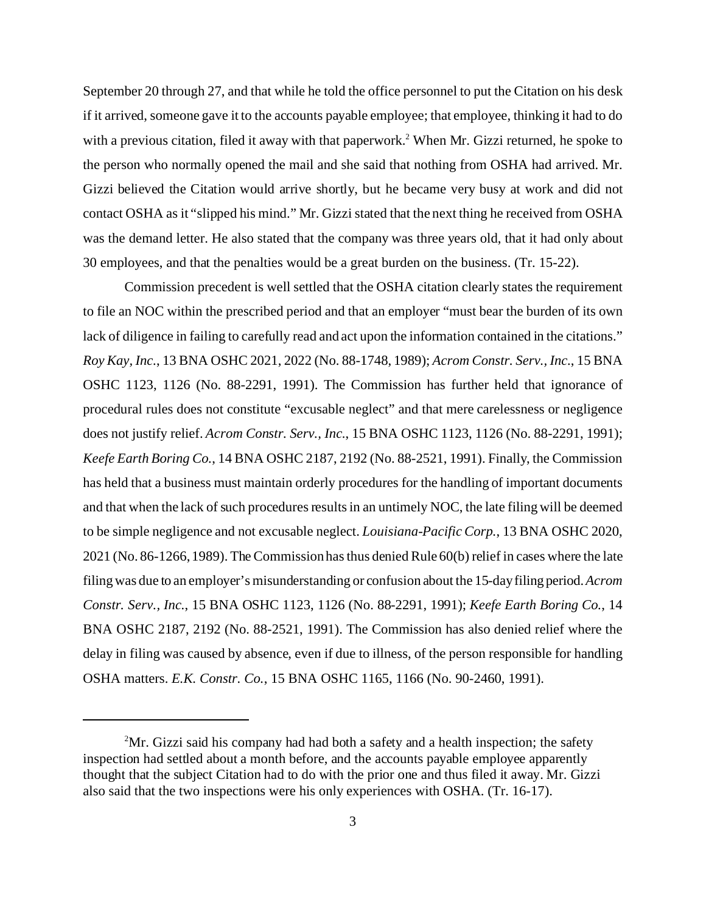September 20 through 27, and that while he told the office personnel to put the Citation on his desk if it arrived, someone gave it to the accounts payable employee; that employee, thinking it had to do with a previous citation, filed it away with that paperwork.<sup>2</sup> When Mr. Gizzi returned, he spoke to the person who normally opened the mail and she said that nothing from OSHA had arrived. Mr. Gizzi believed the Citation would arrive shortly, but he became very busy at work and did not contact OSHA as it "slipped his mind." Mr. Gizzi stated that the next thing he received from OSHA was the demand letter. He also stated that the company was three years old, that it had only about 30 employees, and that the penalties would be a great burden on the business. (Tr. 15-22).

Commission precedent is well settled that the OSHA citation clearly states the requirement to file an NOC within the prescribed period and that an employer "must bear the burden of its own lack of diligence in failing to carefully read and act upon the information contained in the citations." *Roy Kay, Inc.*, 13 BNA OSHC 2021, 2022 (No. 88-1748, 1989); *Acrom Constr. Serv., Inc.*, 15 BNA OSHC 1123, 1126 (No. 88-2291, 1991). The Commission has further held that ignorance of procedural rules does not constitute "excusable neglect" and that mere carelessness or negligence does not justify relief. *Acrom Constr. Serv., Inc.*, 15 BNA OSHC 1123, 1126 (No. 88-2291, 1991); *Keefe Earth Boring Co.*, 14 BNA OSHC 2187, 2192 (No. 88-2521, 1991). Finally, the Commission has held that a business must maintain orderly procedures for the handling of important documents and that when the lack of such procedures results in an untimely NOC, the late filing will be deemed to be simple negligence and not excusable neglect. *Louisiana-Pacific Corp.*, 13 BNA OSHC 2020, 2021 (No. 86-1266, 1989). The Commission has thus denied Rule 60(b) relief in cases where the late filing was due to an employer's misunderstanding or confusion about the 15-day filing period.*Acrom Constr. Serv., Inc.*, 15 BNA OSHC 1123, 1126 (No. 88-2291, 1991); *Keefe Earth Boring Co.*, 14 BNA OSHC 2187, 2192 (No. 88-2521, 1991). The Commission has also denied relief where the delay in filing was caused by absence, even if due to illness, of the person responsible for handling OSHA matters. *E.K. Constr. Co.*, 15 BNA OSHC 1165, 1166 (No. 90-2460, 1991).

 $2<sup>2</sup>Mr$ . Gizzi said his company had had both a safety and a health inspection; the safety inspection had settled about a month before, and the accounts payable employee apparently thought that the subject Citation had to do with the prior one and thus filed it away. Mr. Gizzi also said that the two inspections were his only experiences with OSHA. (Tr. 16-17).